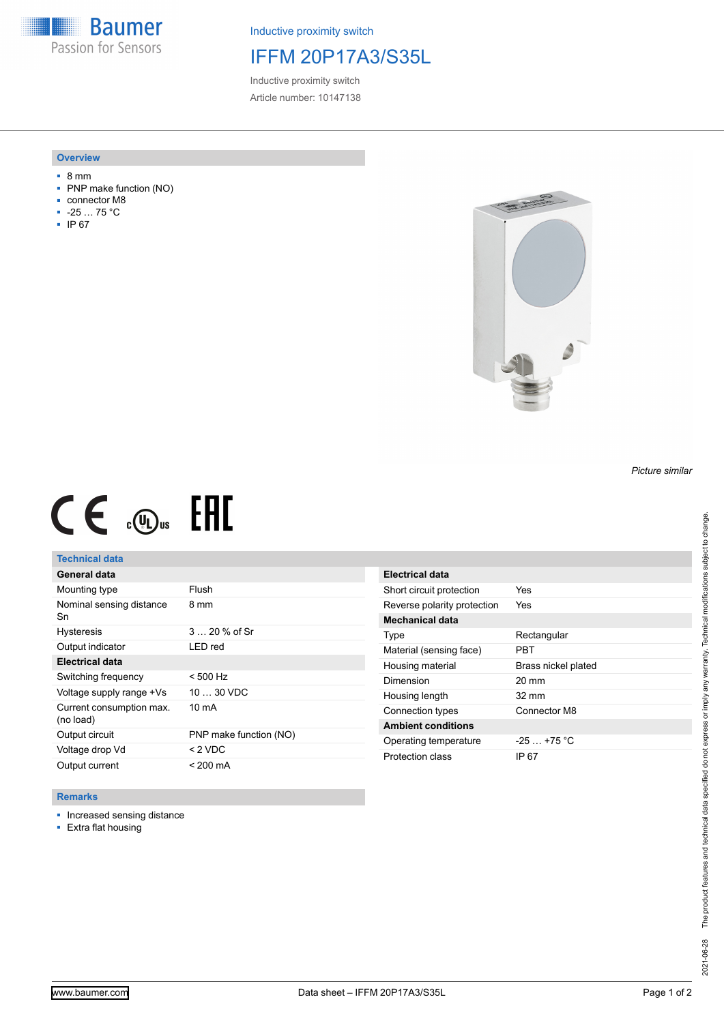**Baumer** Passion for Sensors

Inductive proximity switch

## IFFM 20P17A3/S35L

Inductive proximity switch Article number: 10147138

#### **Overview**

- 8 mm
- PNP make function (NO)
- connector M8
- -25 … 75 °C
- IP 67



# $CE \oplus E$

## **Technical data**

| General data                          |                        |
|---------------------------------------|------------------------|
| Mounting type                         | Flush                  |
| Nominal sensing distance<br>Sn        | 8 mm                   |
| <b>Hysteresis</b>                     | $3 \dots 20 \%$ of Sr  |
| Output indicator                      | LED red                |
| Electrical data                       |                        |
| Switching frequency                   | $< 500$ Hz             |
| Voltage supply range +Vs              | 10  30 VDC             |
| Current consumption max.<br>(no load) | 10 mA                  |
| Output circuit                        | PNP make function (NO) |
| Voltage drop Vd                       | < 2 VDC                |
| Output current                        | $< 200 \text{ mA}$     |

| Electrical data             |                     |
|-----------------------------|---------------------|
| Short circuit protection    | Yes                 |
| Reverse polarity protection | Yes                 |
| Mechanical data             |                     |
| Type                        | Rectangular         |
| Material (sensing face)     | PRT                 |
| Housing material            | Brass nickel plated |
| Dimension                   | $20 \text{ mm}$     |
| Housing length              | $32 \text{ mm}$     |
| Connection types            | Connector M8        |
| <b>Ambient conditions</b>   |                     |
| Operating temperature       | $-25 + 75$ °C       |
| Protection class            | IP 67               |

#### **Remarks**

■ Increased sensing distance

■ Extra flat housing

*Picture similar*